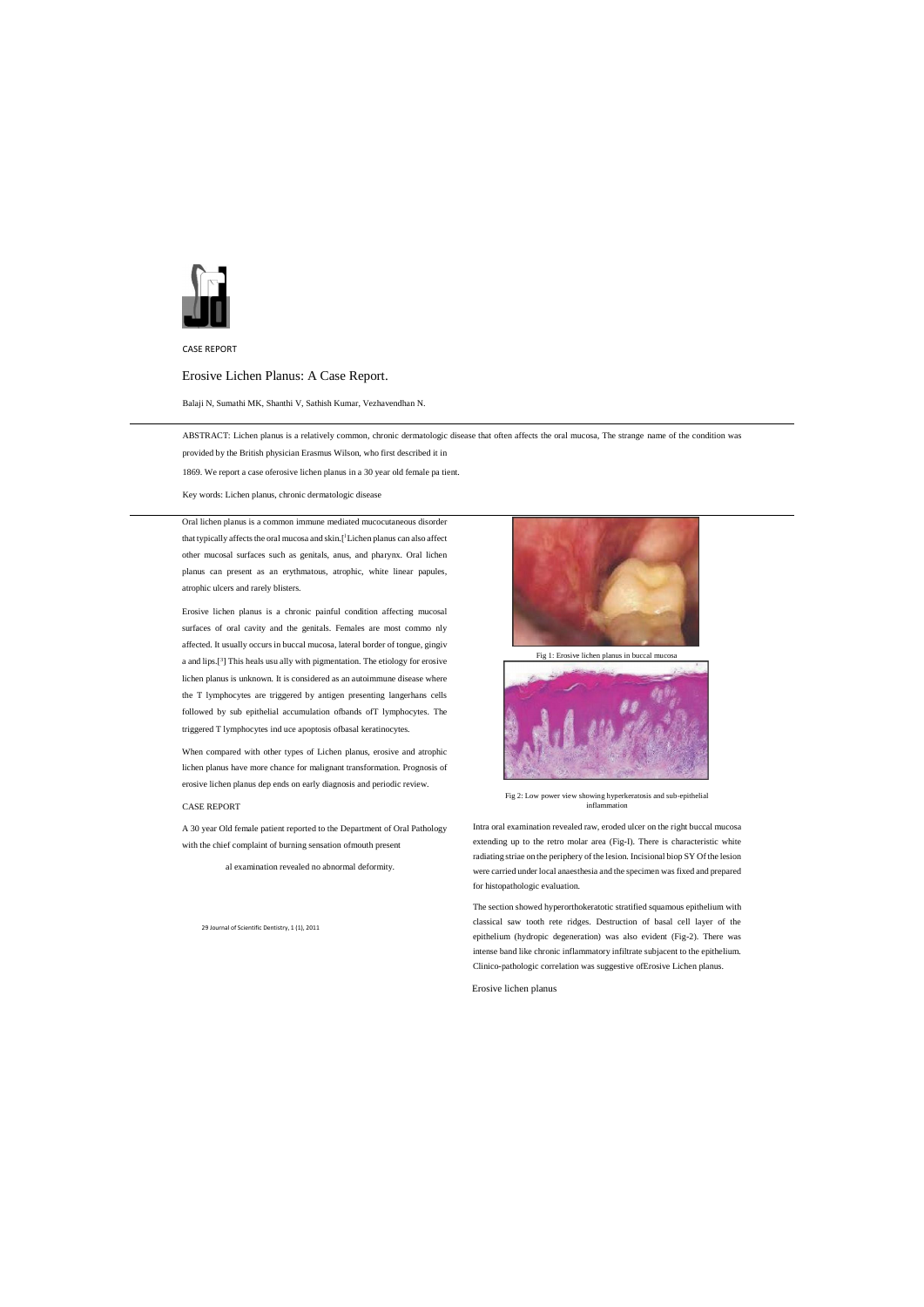

CASE REPORT

# Erosive Lichen Planus: A Case Report.

Balaji N, Sumathi MK, Shanthi V, Sathish Kumar, Vezhavendhan N.

ABSTRACT: Lichen planus is a relatively common, chronic dermatologic disease that often affects the oral mucosa, The strange name of the condition was

provided by the British physician Erasmus Wilson, who first described it in

1869. We report a case oferosive lichen planus in a 30 year old female pa tient.

Key words: Lichen planus, chronic dermatologic disease

Oral lichen planus is a common immune mediated mucocutaneous disorder that typically affects the oral mucosa and skin.[1 Lichen planus can also affect other mucosal surfaces such as genitals, anus, and pharynx. Oral lichen planus can present as an erythmatous, atrophic, white linear papules, atrophic ulcers and rarely blisters.

Erosive lichen planus is a chronic painful condition affecting mucosal surfaces of oral cavity and the genitals. Females are most commo nly affected. It usually occurs in buccal mucosa, lateral border of tongue, gingiv a and lips.[<sup>3</sup> ] This heals usu ally with pigmentation. The etiology for erosive lichen planus is unknown. It is considered as an autoimmune disease where the T lymphocytes are triggered by antigen presenting langerhans cells followed by sub epithelial accumulation ofbands ofT lymphocytes. The triggered T lymphocytes ind uce apoptosis ofbasal keratinocytes.

When compared with other types of Lichen planus, erosive and atrophic lichen planus have more chance for malignant transformation. Prognosis of erosive lichen planus dep ends on early diagnosis and periodic review.

#### CASE REPORT

A 30 year Old female patient reported to the Department of Oral Pathology with the chief complaint of burning sensation ofmouth present

al examination revealed no abnormal deformity.

29 Journal of Scientific Dentistry, 1 (1), 2011



Fig 1: Erosive lichen planus in buccal mucosa



Fig 2: Low power view showing hyperkeratosis and sub-epithelial inflammation

Intra oral examination revealed raw, eroded ulcer on the right buccal mucosa extending up to the retro molar area (Fig-I). There is characteristic white radiating striae on the periphery of the lesion. Incisional biop SY Of the lesion were carried under local anaesthesia and the specimen was fixed and prepared for histopathologic evaluation.

The section showed hyperorthokeratotic stratified squamous epithelium with classical saw tooth rete ridges. Destruction of basal cell layer of the epithelium (hydropic degeneration) was also evident (Fig-2). There was intense band like chronic inflammatory infiltrate subjacent to the epithelium. Clinico-pathologic correlation was suggestive ofErosive Lichen planus.

Erosive lichen planus